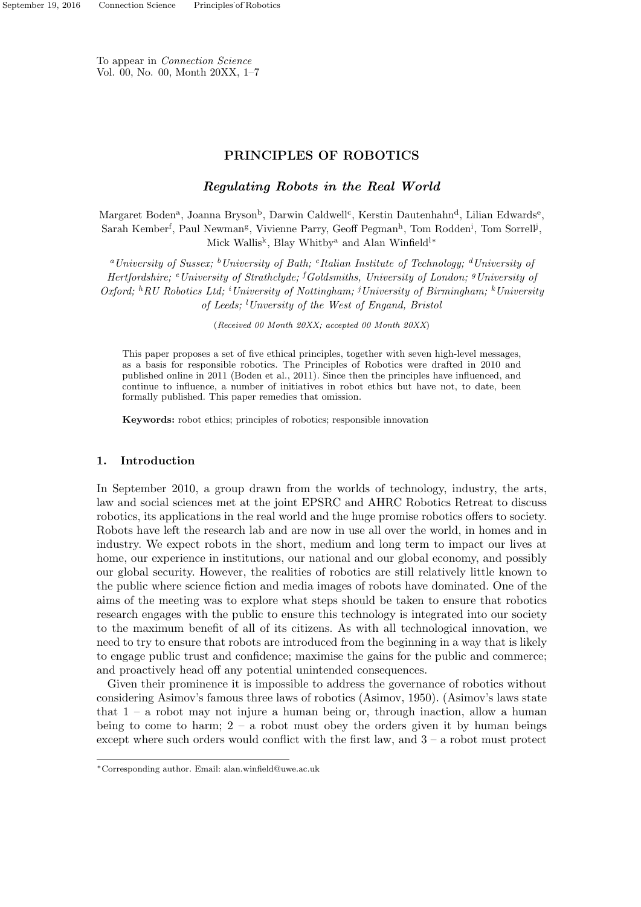To appear in Connection Science Vol. 00, No. 00, Month 20XX, 1–7

# PRINCIPLES OF ROBOTICS

# Regulating Robots in the Real World

Margaret Boden<sup>a</sup>, Joanna Bryson<sup>b</sup>, Darwin Caldwell<sup>c</sup>, Kerstin Dautenhahn<sup>d</sup>, Lilian Edwards<sup>e</sup>, Sarah Kember<sup>f</sup>, Paul Newman<sup>g</sup>, Vivienne Parry, Geoff Pegman<sup>h</sup>, Tom Rodden<sup>i</sup>, Tom Sorrell<sup>j</sup>, Mick Wallis<sup>k</sup>, Blay Whitby<sup>a</sup> and Alan Winfield<sup>1\*</sup>

<sup>a</sup>University of Sussex; <sup>b</sup>University of Bath; <sup>c</sup>Italian Institute of Technology; <sup>d</sup>University of Hertfordshire;  $e$ University of Strathclyde;  ${}^f$ Goldsmiths, University of London;  ${}^g$ University of Oxford;  ${}^hRU$  Robotics Ltd; <sup>i</sup>University of Nottingham; <sup>j</sup>University of Birmingham; <sup>k</sup>University of Leeds: <sup>l</sup>Unversity of the West of Engand, Bristol

(Received 00 Month 20XX; accepted 00 Month 20XX)

This paper proposes a set of five ethical principles, together with seven high-level messages, as a basis for responsible robotics. The Principles of Robotics were drafted in 2010 and published online in 2011 (Boden et al., 2011). Since then the principles have influenced, and continue to influence, a number of initiatives in robot ethics but have not, to date, been formally published. This paper remedies that omission.

Keywords: robot ethics; principles of robotics; responsible innovation

## 1. Introduction

In September 2010, a group drawn from the worlds of technology, industry, the arts, law and social sciences met at the joint EPSRC and AHRC Robotics Retreat to discuss robotics, its applications in the real world and the huge promise robotics offers to society. Robots have left the research lab and are now in use all over the world, in homes and in industry. We expect robots in the short, medium and long term to impact our lives at home, our experience in institutions, our national and our global economy, and possibly our global security. However, the realities of robotics are still relatively little known to the public where science fiction and media images of robots have dominated. One of the aims of the meeting was to explore what steps should be taken to ensure that robotics research engages with the public to ensure this technology is integrated into our society to the maximum benefit of all of its citizens. As with all technological innovation, we need to try to ensure that robots are introduced from the beginning in a way that is likely to engage public trust and confidence; maximise the gains for the public and commerce; and proactively head off any potential unintended consequences.

Given their prominence it is impossible to address the governance of robotics without considering Asimov's famous three laws of robotics (Asimov, 1950). (Asimov's laws state that  $1 - a$  robot may not injure a human being or, through inaction, allow a human being to come to harm;  $2 - a$  robot must obey the orders given it by human beings except where such orders would conflict with the first law, and  $3 - a$  robot must protect

<sup>∗</sup>Corresponding author. Email: alan.winfield@uwe.ac.uk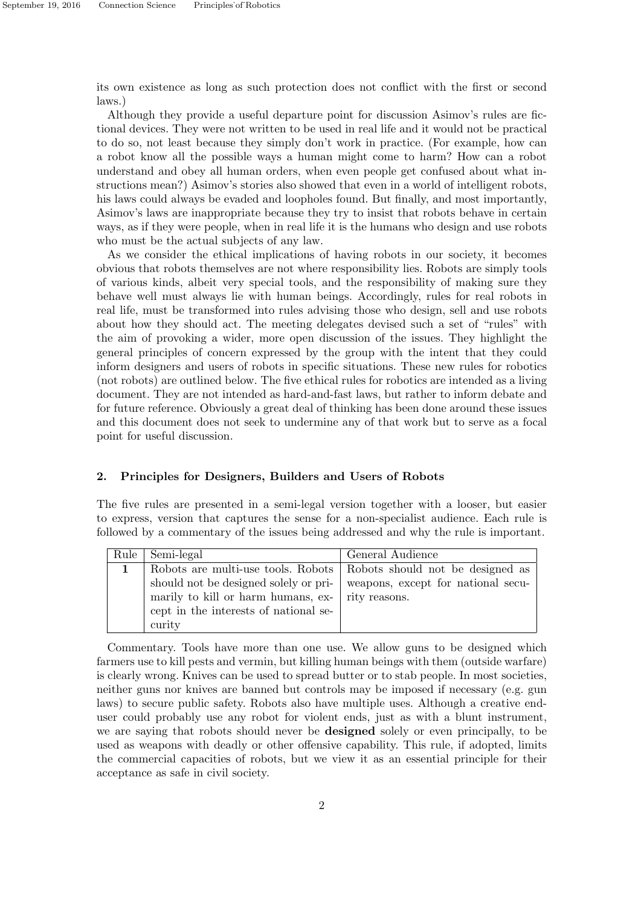its own existence as long as such protection does not conflict with the first or second laws.)

Although they provide a useful departure point for discussion Asimov's rules are fictional devices. They were not written to be used in real life and it would not be practical to do so, not least because they simply don't work in practice. (For example, how can a robot know all the possible ways a human might come to harm? How can a robot understand and obey all human orders, when even people get confused about what instructions mean?) Asimov's stories also showed that even in a world of intelligent robots, his laws could always be evaded and loopholes found. But finally, and most importantly, Asimov's laws are inappropriate because they try to insist that robots behave in certain ways, as if they were people, when in real life it is the humans who design and use robots who must be the actual subjects of any law.

As we consider the ethical implications of having robots in our society, it becomes obvious that robots themselves are not where responsibility lies. Robots are simply tools of various kinds, albeit very special tools, and the responsibility of making sure they behave well must always lie with human beings. Accordingly, rules for real robots in real life, must be transformed into rules advising those who design, sell and use robots about how they should act. The meeting delegates devised such a set of "rules" with the aim of provoking a wider, more open discussion of the issues. They highlight the general principles of concern expressed by the group with the intent that they could inform designers and users of robots in specific situations. These new rules for robotics (not robots) are outlined below. The five ethical rules for robotics are intended as a living document. They are not intended as hard-and-fast laws, but rather to inform debate and for future reference. Obviously a great deal of thinking has been done around these issues and this document does not seek to undermine any of that work but to serve as a focal point for useful discussion.

#### 2. Principles for Designers, Builders and Users of Robots

The five rules are presented in a semi-legal version together with a looser, but easier to express, version that captures the sense for a non-specialist audience. Each rule is followed by a commentary of the issues being addressed and why the rule is important.

| Rule | Semi-legal                                                                  | General Audience                   |
|------|-----------------------------------------------------------------------------|------------------------------------|
|      | Robots are multi-use tools. Robots $\vert$ Robots should not be designed as |                                    |
|      | should not be designed solely or pri-                                       | weapons, except for national secu- |
|      | marily to kill or harm humans, ex- rity reasons.                            |                                    |
|      | cept in the interests of national se-                                       |                                    |
|      | curity                                                                      |                                    |

Commentary. Tools have more than one use. We allow guns to be designed which farmers use to kill pests and vermin, but killing human beings with them (outside warfare) is clearly wrong. Knives can be used to spread butter or to stab people. In most societies, neither guns nor knives are banned but controls may be imposed if necessary (e.g. gun laws) to secure public safety. Robots also have multiple uses. Although a creative enduser could probably use any robot for violent ends, just as with a blunt instrument, we are saying that robots should never be designed solely or even principally, to be used as weapons with deadly or other offensive capability. This rule, if adopted, limits the commercial capacities of robots, but we view it as an essential principle for their acceptance as safe in civil society.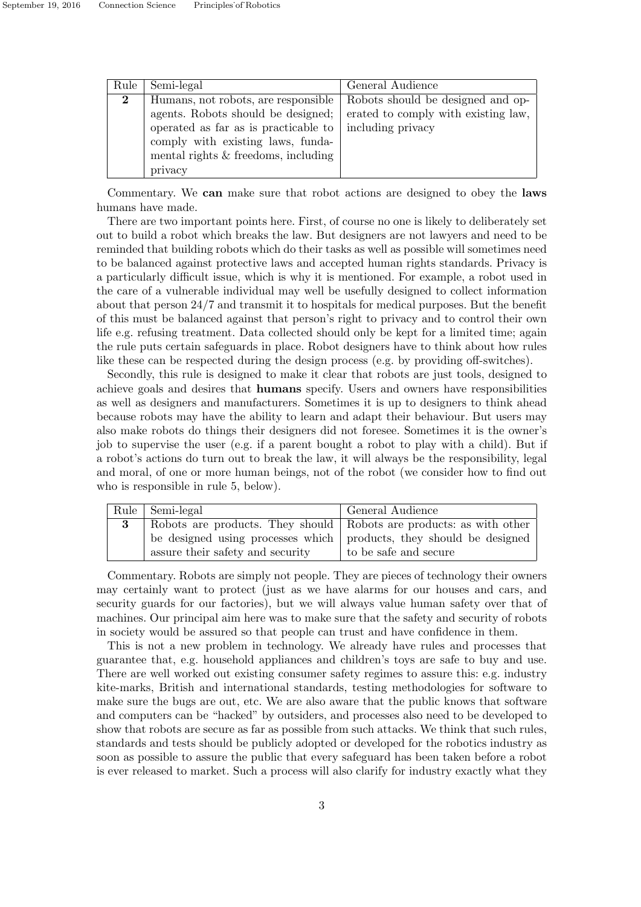| Rule     | Semi-legal                           | General Audience                    |
|----------|--------------------------------------|-------------------------------------|
| $\bf{2}$ | Humans, not robots, are responsible  | Robots should be designed and op-   |
|          | agents. Robots should be designed;   | erated to comply with existing law, |
|          | operated as far as is practicable to | including privacy                   |
|          | comply with existing laws, funda-    |                                     |
|          | mental rights & freedoms, including  |                                     |
|          | privacy                              |                                     |

Commentary. We can make sure that robot actions are designed to obey the laws humans have made.

There are two important points here. First, of course no one is likely to deliberately set out to build a robot which breaks the law. But designers are not lawyers and need to be reminded that building robots which do their tasks as well as possible will sometimes need to be balanced against protective laws and accepted human rights standards. Privacy is a particularly difficult issue, which is why it is mentioned. For example, a robot used in the care of a vulnerable individual may well be usefully designed to collect information about that person 24/7 and transmit it to hospitals for medical purposes. But the benefit of this must be balanced against that person's right to privacy and to control their own life e.g. refusing treatment. Data collected should only be kept for a limited time; again the rule puts certain safeguards in place. Robot designers have to think about how rules like these can be respected during the design process (e.g. by providing off-switches).

Secondly, this rule is designed to make it clear that robots are just tools, designed to achieve goals and desires that humans specify. Users and owners have responsibilities as well as designers and manufacturers. Sometimes it is up to designers to think ahead because robots may have the ability to learn and adapt their behaviour. But users may also make robots do things their designers did not foresee. Sometimes it is the owner's job to supervise the user (e.g. if a parent bought a robot to play with a child). But if a robot's actions do turn out to break the law, it will always be the responsibility, legal and moral, of one or more human beings, not of the robot (we consider how to find out who is responsible in rule 5, below).

|              | Rule Semi-legal                                                     | General Audience                                                    |
|--------------|---------------------------------------------------------------------|---------------------------------------------------------------------|
| $\mathbf{3}$ | Robots are products. They should Robots are products: as with other |                                                                     |
|              |                                                                     | be designed using processes which products, they should be designed |
|              | assure their safety and security                                    | to be safe and secure                                               |

Commentary. Robots are simply not people. They are pieces of technology their owners may certainly want to protect (just as we have alarms for our houses and cars, and security guards for our factories), but we will always value human safety over that of machines. Our principal aim here was to make sure that the safety and security of robots in society would be assured so that people can trust and have confidence in them.

This is not a new problem in technology. We already have rules and processes that guarantee that, e.g. household appliances and children's toys are safe to buy and use. There are well worked out existing consumer safety regimes to assure this: e.g. industry kite-marks, British and international standards, testing methodologies for software to make sure the bugs are out, etc. We are also aware that the public knows that software and computers can be "hacked" by outsiders, and processes also need to be developed to show that robots are secure as far as possible from such attacks. We think that such rules, standards and tests should be publicly adopted or developed for the robotics industry as soon as possible to assure the public that every safeguard has been taken before a robot is ever released to market. Such a process will also clarify for industry exactly what they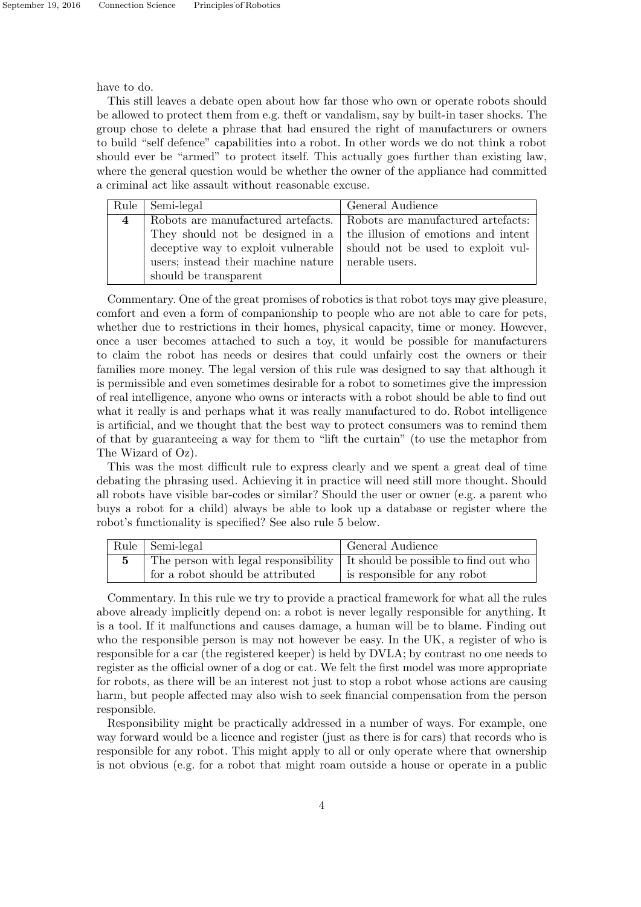have to do. This still leaves a debate open about how far those who own or operate robots should be allowed to protect them from e.g. theft or vandalism, say by built-in taser shocks. The group chose to delete a phrase that had ensured the right of manufacturers or owners to build "self defence" capabilities into a robot. In other words we do not think a robot should ever be "armed" to protect itself. This actually goes further than existing law, where the general question would be whether the owner of the appliance had committed a criminal act like assault without reasonable excuse.

|                | Rule   Semi-legal                                    | General Audience                                                                     |
|----------------|------------------------------------------------------|--------------------------------------------------------------------------------------|
| $\overline{4}$ |                                                      | Robots are manufactured artefacts.   Robots are manufactured artefacts:              |
|                |                                                      | They should not be designed in a $\vert$ the illusion of emotions and intent $\vert$ |
|                |                                                      | deceptive way to exploit vulnerable $\vert$ should not be used to exploit vul-       |
|                | users; instead their machine nature   nerable users. |                                                                                      |
|                | should be transparent                                |                                                                                      |

Commentary. One of the great promises of robotics is that robot toys may give pleasure, comfort and even a form of companionship to people who are not able to care for pets, whether due to restrictions in their homes, physical capacity, time or money. However, once a user becomes attached to such a toy, it would be possible for manufacturers to claim the robot has needs or desires that could unfairly cost the owners or their families more money. The legal version of this rule was designed to say that although it is permissible and even sometimes desirable for a robot to sometimes give the impression of real intelligence, anyone who owns or interacts with a robot should be able to find out what it really is and perhaps what it was really manufactured to do. Robot intelligence is artificial, and we thought that the best way to protect consumers was to remind them of that by guaranteeing a way for them to "lift the curtain" (to use the metaphor from The Wizard of Oz).

This was the most difficult rule to express clearly and we spent a great deal of time debating the phrasing used. Achieving it in practice will need still more thought. Should all robots have visible bar-codes or similar? Should the user or owner (e.g. a parent who buys a robot for a child) always be able to look up a database or register where the robot's functionality is specified? See also rule 5 below.

| Rule Semi-legal                                                                    | General Audience             |
|------------------------------------------------------------------------------------|------------------------------|
| The person with legal responsibility $\vert$ It should be possible to find out who |                              |
| for a robot should be attributed                                                   | is responsible for any robot |

Commentary. In this rule we try to provide a practical framework for what all the rules above already implicitly depend on: a robot is never legally responsible for anything. It is a tool. If it malfunctions and causes damage, a human will be to blame. Finding out who the responsible person is may not however be easy. In the UK, a register of who is responsible for a car (the registered keeper) is held by DVLA; by contrast no one needs to register as the official owner of a dog or cat. We felt the first model was more appropriate for robots, as there will be an interest not just to stop a robot whose actions are causing harm, but people affected may also wish to seek financial compensation from the person responsible.

Responsibility might be practically addressed in a number of ways. For example, one way forward would be a licence and register (just as there is for cars) that records who is responsible for any robot. This might apply to all or only operate where that ownership is not obvious (e.g. for a robot that might roam outside a house or operate in a public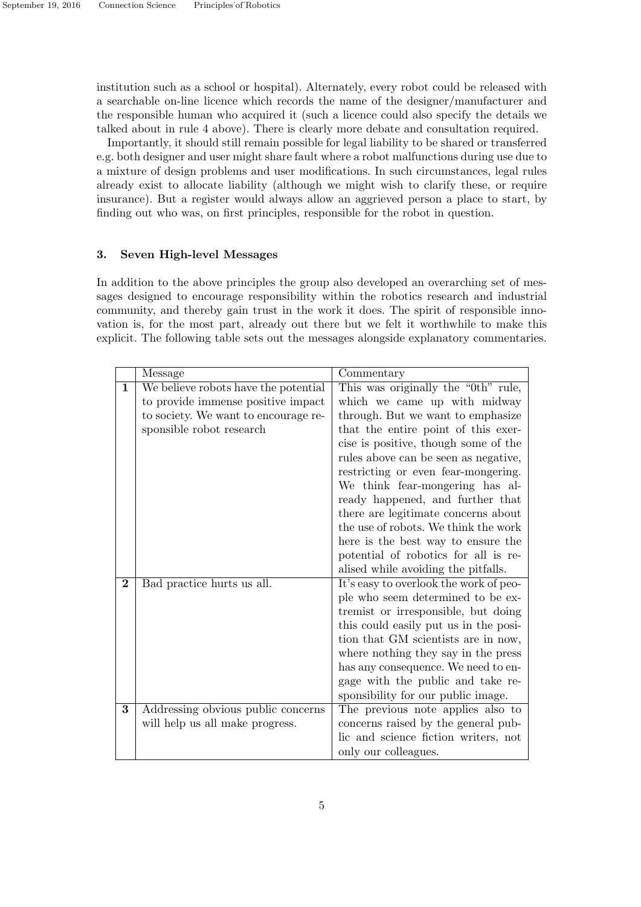institution such as a school or hospital). Alternately, every robot could be released with a searchable on-line licence which records the name of the designer/manufacturer and the responsible human who acquired it (such a licence could also specify the details we talked about in rule 4 above). There is clearly more debate and consultation required.

Importantly, it should still remain possible for legal liability to be shared or transferred e.g. both designer and user might share fault where a robot malfunctions during use due to a mixture of design problems and user modifications. In such circumstances, legal rules already exist to allocate liability (although we might wish to clarify these, or require insurance). But a register would always allow an aggrieved person a place to start, by finding out who was, on first principles, responsible for the robot in question.

# 3. Seven High-level Messages

In addition to the above principles the group also developed an overarching set of messages designed to encourage responsibility within the robotics research and industrial community, and thereby gain trust in the work it does. The spirit of responsible innovation is, for the most part, already out there but we felt it worthwhile to make this explicit. The following table sets out the messages alongside explanatory commentaries.

|                | Message                              | Commentary                             |
|----------------|--------------------------------------|----------------------------------------|
| 1              | We believe robots have the potential | This was originally the "0th" rule,    |
|                | to provide immense positive impact   | which we came up with midway           |
|                | to society. We want to encourage re- | through. But we want to emphasize      |
|                | sponsible robot research             | that the entire point of this exer-    |
|                |                                      | cise is positive, though some of the   |
|                |                                      | rules above can be seen as negative,   |
|                |                                      | restricting or even fear-mongering.    |
|                |                                      | We think fear-mongering has al-        |
|                |                                      | ready happened, and further that       |
|                |                                      | there are legitimate concerns about    |
|                |                                      | the use of robots. We think the work   |
|                |                                      | here is the best way to ensure the     |
|                |                                      | potential of robotics for all is re-   |
|                |                                      | alised while avoiding the pitfalls.    |
| $\overline{2}$ | Bad practice hurts us all.           | It's easy to overlook the work of peo- |
|                |                                      | ple who seem determined to be ex-      |
|                |                                      | tremist or irresponsible, but doing    |
|                |                                      | this could easily put us in the posi-  |
|                |                                      | tion that GM scientists are in now,    |
|                |                                      | where nothing they say in the press    |
|                |                                      | has any consequence. We need to en-    |
|                |                                      | gage with the public and take re-      |
|                |                                      | sponsibility for our public image.     |
| 3              | Addressing obvious public concerns   | The previous note applies also to      |
|                | will help us all make progress.      | concerns raised by the general pub-    |
|                |                                      | lic and science fiction writers, not   |
|                |                                      | only our colleagues.                   |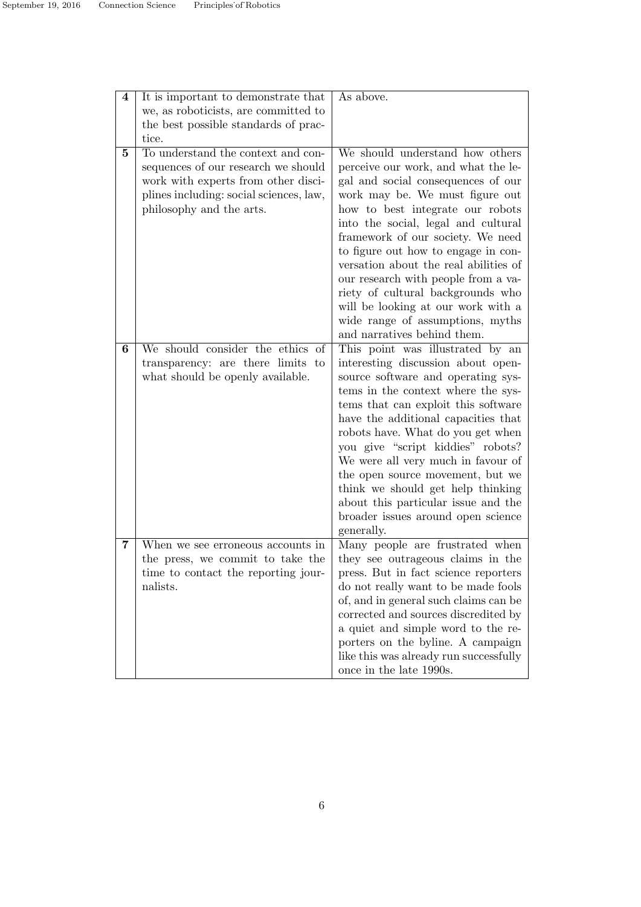| $\bf{4}$       | It is important to demonstrate that     | As above.                                                               |
|----------------|-----------------------------------------|-------------------------------------------------------------------------|
|                | we, as roboticists, are committed to    |                                                                         |
|                | the best possible standards of prac-    |                                                                         |
|                | tice.                                   |                                                                         |
| $\bf{5}$       | To understand the context and con-      | We should understand how others                                         |
|                | sequences of our research we should     | perceive our work, and what the le-                                     |
|                | work with experts from other disci-     | gal and social consequences of our                                      |
|                | plines including: social sciences, law, | work may be. We must figure out                                         |
|                | philosophy and the arts.                | how to best integrate our robots                                        |
|                |                                         | into the social, legal and cultural                                     |
|                |                                         | framework of our society. We need                                       |
|                |                                         | to figure out how to engage in con-                                     |
|                |                                         | versation about the real abilities of                                   |
|                |                                         | our research with people from a va-                                     |
|                |                                         | riety of cultural backgrounds who                                       |
|                |                                         | will be looking at our work with a                                      |
|                |                                         | wide range of assumptions, myths                                        |
|                |                                         | and narratives behind them.                                             |
| 6              | We should consider the ethics of        | This point was illustrated by an                                        |
|                | transparency: are there limits to       | interesting discussion about open-                                      |
|                | what should be openly available.        | source software and operating sys-                                      |
|                |                                         | tems in the context where the sys-                                      |
|                |                                         | tems that can exploit this software                                     |
|                |                                         | have the additional capacities that                                     |
|                |                                         | robots have. What do you get when                                       |
|                |                                         | you give "script kiddies" robots?<br>We were all very much in favour of |
|                |                                         | the open source movement, but we                                        |
|                |                                         | think we should get help thinking                                       |
|                |                                         | about this particular issue and the                                     |
|                |                                         | broader issues around open science                                      |
|                |                                         | generally.                                                              |
| $\overline{7}$ | When we see erroneous accounts in       | Many people are frustrated when                                         |
|                | the press, we commit to take the        | they see outrageous claims in the                                       |
|                | time to contact the reporting jour-     | press. But in fact science reporters                                    |
|                | nalists.                                | do not really want to be made fools                                     |
|                |                                         | of, and in general such claims can be                                   |
|                |                                         | corrected and sources discredited by                                    |
|                |                                         | a quiet and simple word to the re-                                      |
|                |                                         | porters on the byline. A campaign                                       |
|                |                                         | like this was already run successfully                                  |
|                |                                         | once in the late 1990s.                                                 |